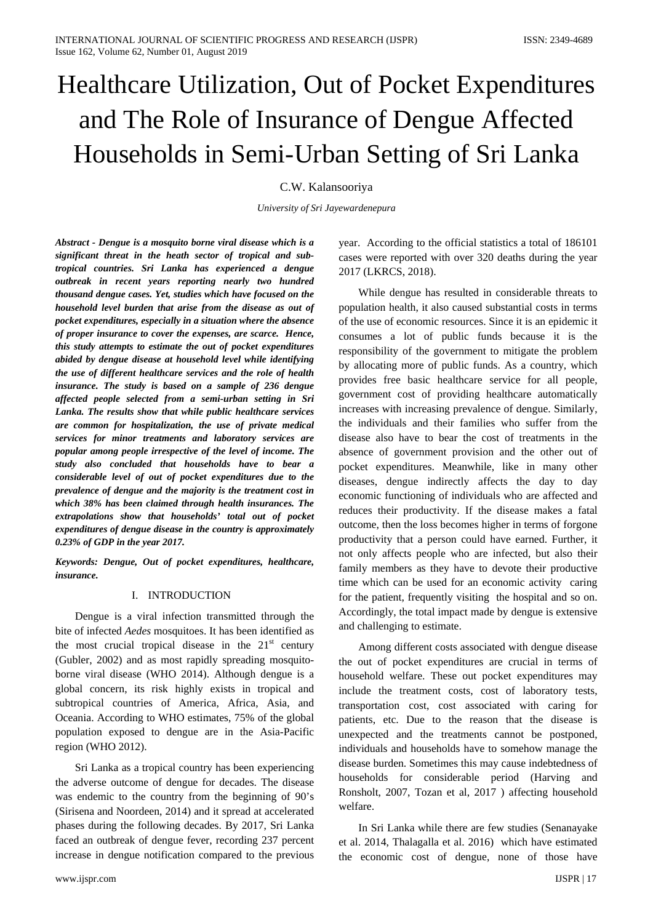# Healthcare Utilization, Out of Pocket Expenditures and The Role of Insurance of Dengue Affected Households in Semi-Urban Setting of Sri Lanka

# C.W. Kalansooriya

*University of Sri Jayewardenepura*

*Abstract - Dengue is a mosquito borne viral disease which is a significant threat in the heath sector of tropical and subtropical countries. Sri Lanka has experienced a dengue outbreak in recent years reporting nearly two hundred thousand dengue cases. Yet, studies which have focused on the household level burden that arise from the disease as out of pocket expenditures, especially in a situation where the absence of proper insurance to cover the expenses, are scarce. Hence, this study attempts to estimate the out of pocket expenditures abided by dengue disease at household level while identifying the use of different healthcare services and the role of health insurance. The study is based on a sample of 236 dengue affected people selected from a semi-urban setting in Sri Lanka. The results show that while public healthcare services are common for hospitalization, the use of private medical services for minor treatments and laboratory services are popular among people irrespective of the level of income. The study also concluded that households have to bear a considerable level of out of pocket expenditures due to the prevalence of dengue and the majority is the treatment cost in which 38% has been claimed through health insurances. The extrapolations show that households' total out of pocket expenditures of dengue disease in the country is approximately 0.23% of GDP in the year 2017.* 

*Keywords: Dengue, Out of pocket expenditures, healthcare, insurance.*

# I. INTRODUCTION

Dengue is a viral infection transmitted through the bite of infected *Aedes* mosquitoes. It has been identified as the most crucial tropical disease in the  $21<sup>st</sup>$  century (Gubler, 2002) and as most rapidly spreading mosquitoborne viral disease (WHO 2014). Although dengue is a global concern, its risk highly exists in tropical and subtropical countries of America, Africa, Asia, and Oceania. According to WHO estimates, 75% of the global population exposed to dengue are in the Asia-Pacific region (WHO 2012).

Sri Lanka as a tropical country has been experiencing the adverse outcome of dengue for decades. The disease was endemic to the country from the beginning of 90's (Sirisena and Noordeen, 2014) and it spread at accelerated phases during the following decades. By 2017, Sri Lanka faced an outbreak of dengue fever, recording 237 percent increase in dengue notification compared to the previous

year. According to the official statistics a total of 186101 cases were reported with over 320 deaths during the year 2017 (LKRCS, 2018).

While dengue has resulted in considerable threats to population health, it also caused substantial costs in terms of the use of economic resources. Since it is an epidemic it consumes a lot of public funds because it is the responsibility of the government to mitigate the problem by allocating more of public funds. As a country, which provides free basic healthcare service for all people, government cost of providing healthcare automatically increases with increasing prevalence of dengue. Similarly, the individuals and their families who suffer from the disease also have to bear the cost of treatments in the absence of government provision and the other out of pocket expenditures. Meanwhile, like in many other diseases, dengue indirectly affects the day to day economic functioning of individuals who are affected and reduces their productivity. If the disease makes a fatal outcome, then the loss becomes higher in terms of forgone productivity that a person could have earned. Further, it not only affects people who are infected, but also their family members as they have to devote their productive time which can be used for an economic activity caring for the patient, frequently visiting the hospital and so on. Accordingly, the total impact made by dengue is extensive and challenging to estimate.

Among different costs associated with dengue disease the out of pocket expenditures are crucial in terms of household welfare. These out pocket expenditures may include the treatment costs, cost of laboratory tests, transportation cost, cost associated with caring for patients, etc. Due to the reason that the disease is unexpected and the treatments cannot be postponed, individuals and households have to somehow manage the disease burden. Sometimes this may cause indebtedness of households for considerable period (Harving and Ronsholt, 2007, Tozan et al, 2017 ) affecting household welfare.

In Sri Lanka while there are few studies (Senanayake et al. 2014, Thalagalla et al. 2016) which have estimated the economic cost of dengue, none of those have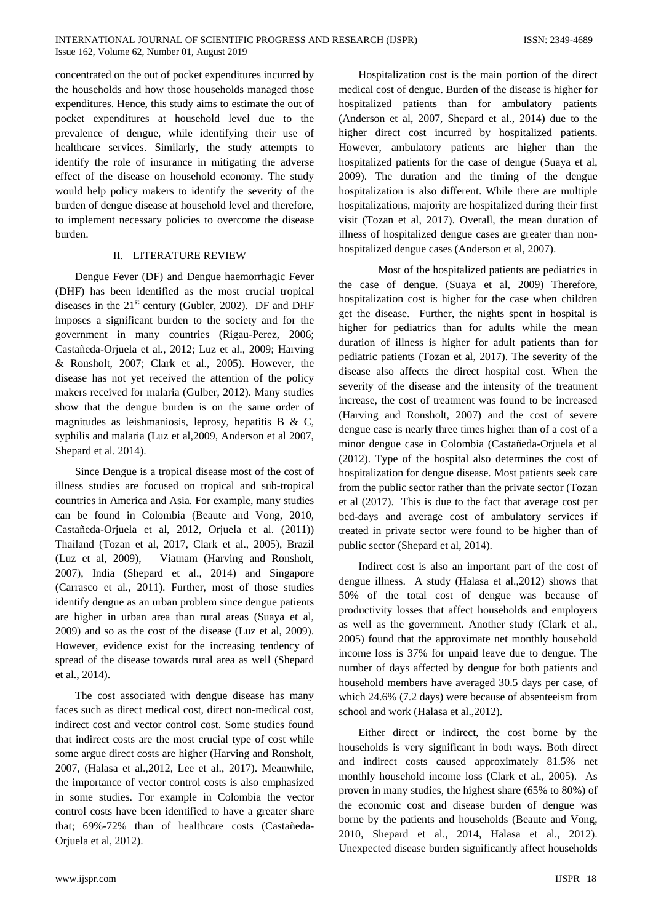concentrated on the out of pocket expenditures incurred by the households and how those households managed those expenditures. Hence, this study aims to estimate the out of pocket expenditures at household level due to the prevalence of dengue, while identifying their use of healthcare services. Similarly, the study attempts to identify the role of insurance in mitigating the adverse effect of the disease on household economy. The study would help policy makers to identify the severity of the burden of dengue disease at household level and therefore, to implement necessary policies to overcome the disease burden.

# II. LITERATURE REVIEW

Dengue Fever (DF) and Dengue haemorrhagic Fever (DHF) has been identified as the most crucial tropical diseases in the  $21<sup>st</sup>$  century (Gubler, 2002). DF and DHF imposes a significant burden to the society and for the government in many countries (Rigau-Perez, 2006; Castañeda-Orjuela et al., 2012; Luz et al., 2009; Harving & Ronsholt, 2007; Clark et al., 2005). However, the disease has not yet received the attention of the policy makers received for malaria (Gulber, 2012). Many studies show that the dengue burden is on the same order of magnitudes as leishmaniosis, leprosy, hepatitis B & C, syphilis and malaria (Luz et al,2009, Anderson et al 2007, Shepard et al. 2014).

Since Dengue is a tropical disease most of the cost of illness studies are focused on tropical and sub-tropical countries in America and Asia. For example, many studies can be found in Colombia (Beaute and Vong, 2010, Castañeda-Orjuela et al, 2012, Orjuela et al. (2011)) Thailand (Tozan et al, 2017, Clark et al., 2005), Brazil (Luz et al, 2009), Viatnam (Harving and Ronsholt, 2007), India (Shepard et al., 2014) and Singapore (Carrasco et al., 2011). Further, most of those studies identify dengue as an urban problem since dengue patients are higher in urban area than rural areas (Suaya et al, 2009) and so as the cost of the disease (Luz et al, 2009). However, evidence exist for the increasing tendency of spread of the disease towards rural area as well (Shepard et al., 2014).

The cost associated with dengue disease has many faces such as direct medical cost, direct non-medical cost, indirect cost and vector control cost. Some studies found that indirect costs are the most crucial type of cost while some argue direct costs are higher (Harving and Ronsholt, 2007, (Halasa et al.,2012, Lee et al., 2017). Meanwhile, the importance of vector control costs is also emphasized in some studies. For example in Colombia the vector control costs have been identified to have a greater share that; 69%-72% than of healthcare costs (Castañeda-Orjuela et al, 2012).

Hospitalization cost is the main portion of the direct medical cost of dengue. Burden of the disease is higher for hospitalized patients than for ambulatory patients (Anderson et al, 2007, Shepard et al., 2014) due to the higher direct cost incurred by hospitalized patients. However, ambulatory patients are higher than the hospitalized patients for the case of dengue (Suaya et al, 2009). The duration and the timing of the dengue hospitalization is also different. While there are multiple hospitalizations, majority are hospitalized during their first visit (Tozan et al, 2017). Overall, the mean duration of illness of hospitalized dengue cases are greater than nonhospitalized dengue cases (Anderson et al, 2007).

Most of the hospitalized patients are pediatrics in the case of dengue. (Suaya et al, 2009) Therefore, hospitalization cost is higher for the case when children get the disease. Further, the nights spent in hospital is higher for pediatrics than for adults while the mean duration of illness is higher for adult patients than for pediatric patients (Tozan et al, 2017). The severity of the disease also affects the direct hospital cost. When the severity of the disease and the intensity of the treatment increase, the cost of treatment was found to be increased (Harving and Ronsholt, 2007) and the cost of severe dengue case is nearly three times higher than of a cost of a minor dengue case in Colombia (Castañeda-Orjuela et al (2012). Type of the hospital also determines the cost of hospitalization for dengue disease. Most patients seek care from the public sector rather than the private sector (Tozan et al (2017). This is due to the fact that average cost per bed-days and average cost of ambulatory services if treated in private sector were found to be higher than of public sector (Shepard et al, 2014).

Indirect cost is also an important part of the cost of dengue illness. A study (Halasa et al.,2012) shows that 50% of the total cost of dengue was because of productivity losses that affect households and employers as well as the government. Another study (Clark et al., 2005) found that the approximate net monthly household income loss is 37% for unpaid leave due to dengue. The number of days affected by dengue for both patients and household members have averaged 30.5 days per case, of which 24.6% (7.2 days) were because of absenteeism from school and work (Halasa et al.,2012).

Either direct or indirect, the cost borne by the households is very significant in both ways. Both direct and indirect costs caused approximately 81.5% net monthly household income loss (Clark et al., 2005). As proven in many studies, the highest share (65% to 80%) of the economic cost and disease burden of dengue was borne by the patients and households (Beaute and Vong, 2010, Shepard et al., 2014, Halasa et al., 2012). Unexpected disease burden significantly affect households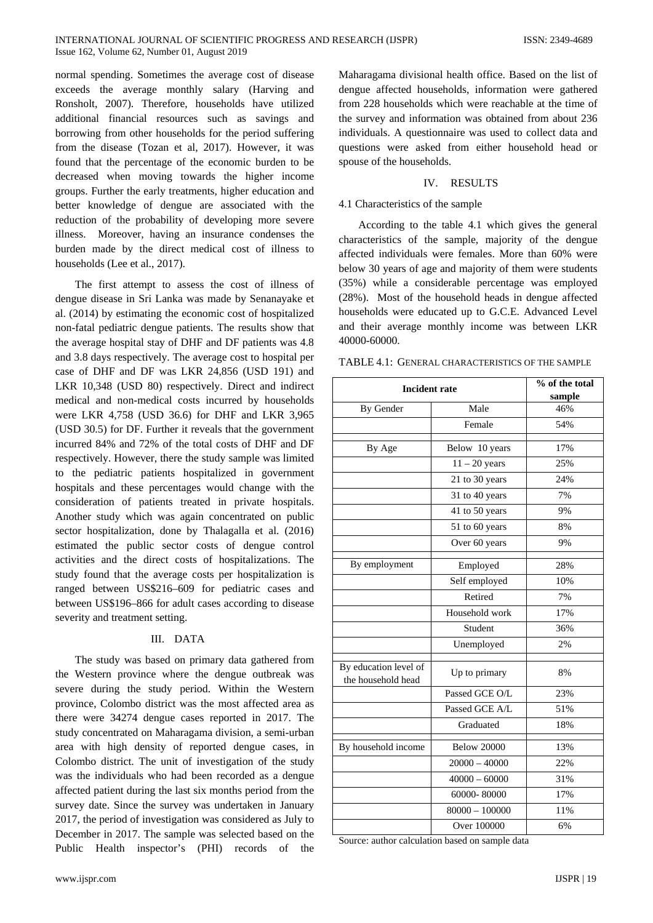normal spending. Sometimes the average cost of disease exceeds the average monthly salary (Harving and Ronsholt, 2007). Therefore, households have utilized additional financial resources such as savings and borrowing from other households for the period suffering from the disease (Tozan et al, 2017). However, it was found that the percentage of the economic burden to be decreased when moving towards the higher income groups. Further the early treatments, higher education and better knowledge of dengue are associated with the reduction of the probability of developing more severe illness. Moreover, having an insurance condenses the burden made by the direct medical cost of illness to households (Lee et al., 2017).

The first attempt to assess the cost of illness of dengue disease in Sri Lanka was made by Senanayake et al. (2014) by estimating the economic cost of hospitalized non-fatal pediatric dengue patients. The results show that the average hospital stay of DHF and DF patients was 4.8 and 3.8 days respectively. The average cost to hospital per case of DHF and DF was LKR 24,856 (USD 191) and LKR 10,348 (USD 80) respectively. Direct and indirect medical and non-medical costs incurred by households were LKR 4,758 (USD 36.6) for DHF and LKR 3,965 (USD 30.5) for DF. Further it reveals that the government incurred 84% and 72% of the total costs of DHF and DF respectively. However, there the study sample was limited to the pediatric patients hospitalized in government hospitals and these percentages would change with the consideration of patients treated in private hospitals. Another study which was again concentrated on public sector hospitalization, done by Thalagalla et al. (2016) estimated the public sector costs of dengue control activities and the direct costs of hospitalizations. The study found that the average costs per hospitalization is ranged between US\$216–609 for pediatric cases and between US\$196–866 for adult cases according to disease severity and treatment setting.

#### III. DATA

The study was based on primary data gathered from the Western province where the dengue outbreak was severe during the study period. Within the Western province, Colombo district was the most affected area as there were 34274 dengue cases reported in 2017. The study concentrated on Maharagama division, a semi-urban area with high density of reported dengue cases, in Colombo district. The unit of investigation of the study was the individuals who had been recorded as a dengue affected patient during the last six months period from the survey date. Since the survey was undertaken in January 2017, the period of investigation was considered as July to December in 2017. The sample was selected based on the Public Health inspector's (PHI) records of the

Maharagama divisional health office. Based on the list of dengue affected households, information were gathered from 228 households which were reachable at the time of the survey and information was obtained from about 236 individuals. A questionnaire was used to collect data and questions were asked from either household head or spouse of the households.

#### IV. RESULTS

#### 4.1 Characteristics of the sample

According to the table 4.1 which gives the general characteristics of the sample, majority of the dengue affected individuals were females. More than 60% were below 30 years of age and majority of them were students (35%) while a considerable percentage was employed (28%). Most of the household heads in dengue affected households were educated up to G.C.E. Advanced Level and their average monthly income was between LKR 40000-60000.

TABLE 4.1: GENERAL CHARACTERISTICS OF THE SAMPLE

| <b>Incident rate</b>                        |                    | % of the total<br>sample |  |
|---------------------------------------------|--------------------|--------------------------|--|
| By Gender                                   | Male               | 46%                      |  |
|                                             | Female             | 54%                      |  |
| By Age                                      | Below 10 years     | 17%                      |  |
|                                             | $11 - 20$ years    | 25%                      |  |
|                                             | 21 to 30 years     | 24%                      |  |
|                                             | 31 to 40 years     | 7%                       |  |
|                                             | 41 to 50 years     | 9%                       |  |
|                                             | 51 to 60 years     | 8%                       |  |
|                                             | Over 60 years      | 9%                       |  |
| By employment                               | Employed           | 28%                      |  |
|                                             | Self employed      | 10%                      |  |
|                                             | Retired            | 7%                       |  |
|                                             | Household work     | 17%                      |  |
|                                             | Student            | 36%                      |  |
|                                             | Unemployed         | 2%                       |  |
| By education level of<br>the household head | Up to primary      | 8%                       |  |
|                                             | Passed GCE O/L     | 23%                      |  |
|                                             | Passed GCE A/L     | 51%                      |  |
|                                             | Graduated          | 18%                      |  |
| By household income                         | <b>Below 20000</b> | 13%                      |  |
|                                             | $20000 - 40000$    | 22%                      |  |
|                                             | $40000 - 60000$    | 31%                      |  |
|                                             | 60000-80000        | 17%                      |  |
|                                             | $80000 - 100000$   | 11%                      |  |
|                                             | Over 100000        | 6%                       |  |

Source: author calculation based on sample data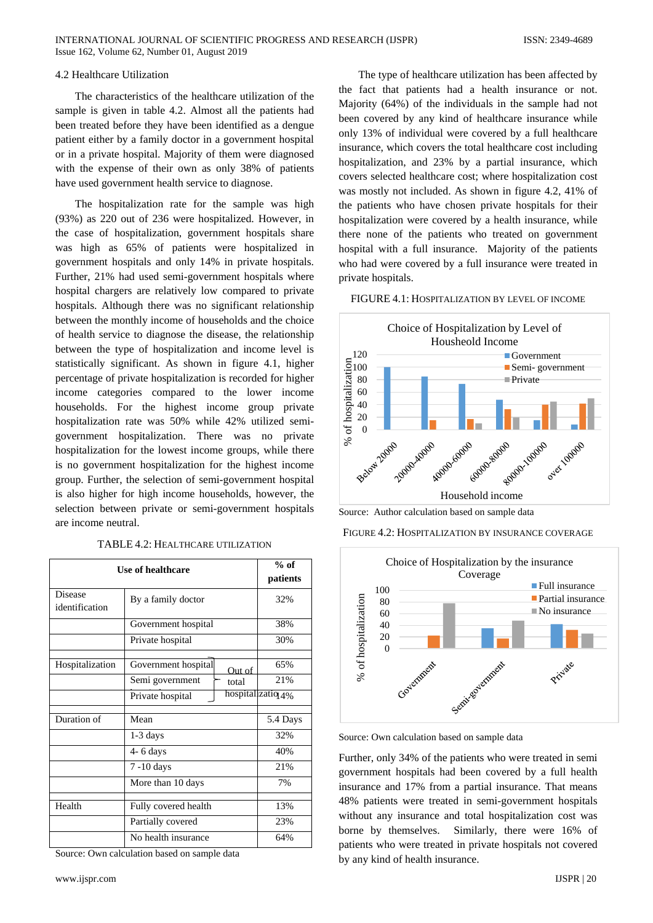### 4.2 Healthcare Utilization

The characteristics of the healthcare utilization of the sample is given in table 4.2. Almost all the patients had been treated before they have been identified as a dengue patient either by a family doctor in a government hospital or in a private hospital. Majority of them were diagnosed with the expense of their own as only 38% of patients have used government health service to diagnose.

The hospitalization rate for the sample was high (93%) as 220 out of 236 were hospitalized. However, in the case of hospitalization, government hospitals share was high as 65% of patients were hospitalized in government hospitals and only 14% in private hospitals. Further, 21% had used semi-government hospitals where hospital chargers are relatively low compared to private hospitals. Although there was no significant relationship between the monthly income of households and the choice of health service to diagnose the disease, the relationship between the type of hospitalization and income level is statistically significant. As shown in figure 4.1, higher percentage of private hospitalization is recorded for higher income categories compared to the lower income households. For the highest income group private hospitalization rate was 50% while 42% utilized semigovernment hospitalization. There was no private hospitalization for the lowest income groups, while there is no government hospitalization for the highest income group. Further, the selection of semi-government hospital is also higher for high income households, however, the selection between private or semi-government hospitals are income neutral.

#### TABLE 4.2: HEALTHCARE UTILIZATION

| <b>Use of healthcare</b>  | $%$ of<br>patients            |                   |
|---------------------------|-------------------------------|-------------------|
| Disease<br>identification | By a family doctor            | 32%               |
|                           | Government hospital           | 38%               |
|                           | Private hospital              | 30%               |
| Hospitalization           | Government hospital<br>Out of | 65%               |
|                           | Semi government<br>total      | 21%               |
|                           | Private hospital              | hospitalizatiq 4% |
| Duration of               | Mean                          | 5.4 Days          |
|                           | $1-3$ days                    | 32%               |
|                           | $4 - 6$ days                  | 40%               |
|                           | 7 -10 days                    | 21%               |
|                           | More than 10 days             | 7%                |
| Health                    | Fully covered health          | 13%               |
|                           | Partially covered             | 23%               |
|                           | No health insurance           | 64%               |

Source: Own calculation based on sample data

The type of healthcare utilization has been affected by the fact that patients had a health insurance or not. Majority (64%) of the individuals in the sample had not been covered by any kind of healthcare insurance while only 13% of individual were covered by a full healthcare insurance, which covers the total healthcare cost including hospitalization, and 23% by a partial insurance, which covers selected healthcare cost; where hospitalization cost was mostly not included. As shown in figure 4.2, 41% of the patients who have chosen private hospitals for their hospitalization were covered by a health insurance, while there none of the patients who treated on government hospital with a full insurance. Majority of the patients who had were covered by a full insurance were treated in private hospitals.

#### FIGURE 4.1: HOSPITALIZATION BY LEVEL OF INCOME



Source: Author calculation based on sample data

FIGURE 4.2: HOSPITALIZATION BY INSURANCE COVERAGE



Source: Own calculation based on sample data

Further, only 34% of the patients who were treated in semi government hospitals had been covered by a full health insurance and 17% from a partial insurance. That means 48% patients were treated in semi-government hospitals without any insurance and total hospitalization cost was borne by themselves. Similarly, there were 16% of patients who were treated in private hospitals not covered by any kind of health insurance.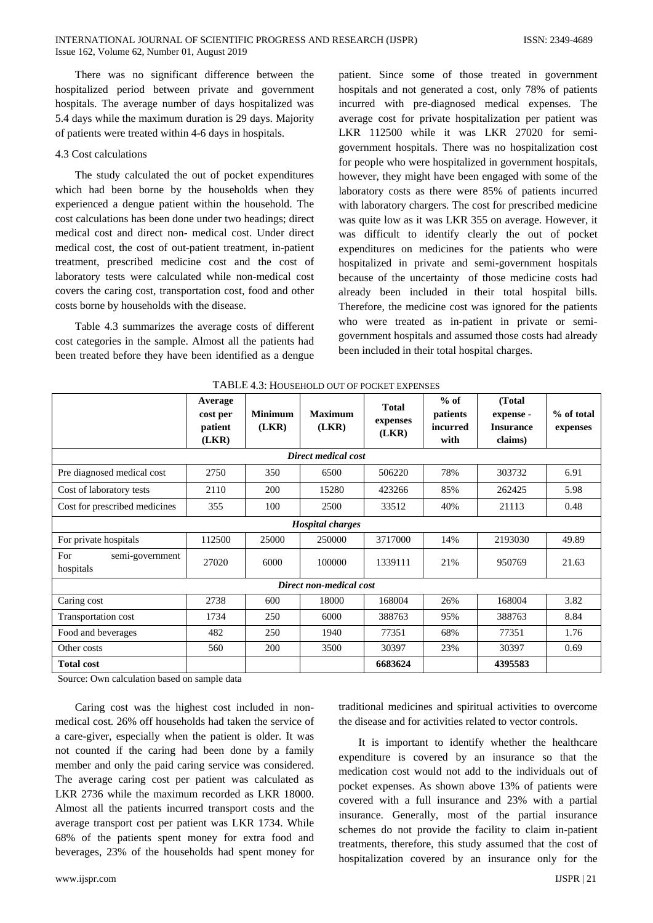There was no significant difference between the hospitalized period between private and government hospitals. The average number of days hospitalized was 5.4 days while the maximum duration is 29 days. Majority of patients were treated within 4-6 days in hospitals.

# 4.3 Cost calculations

The study calculated the out of pocket expenditures which had been borne by the households when they experienced a dengue patient within the household. The cost calculations has been done under two headings; direct medical cost and direct non- medical cost. Under direct medical cost, the cost of out-patient treatment, in-patient treatment, prescribed medicine cost and the cost of laboratory tests were calculated while non-medical cost covers the caring cost, transportation cost, food and other costs borne by households with the disease.

Table 4.3 summarizes the average costs of different cost categories in the sample. Almost all the patients had been treated before they have been identified as a dengue patient. Since some of those treated in government hospitals and not generated a cost, only 78% of patients incurred with pre-diagnosed medical expenses. The average cost for private hospitalization per patient was LKR 112500 while it was LKR 27020 for semigovernment hospitals. There was no hospitalization cost for people who were hospitalized in government hospitals, however, they might have been engaged with some of the laboratory costs as there were 85% of patients incurred with laboratory chargers. The cost for prescribed medicine was quite low as it was LKR 355 on average. However, it was difficult to identify clearly the out of pocket expenditures on medicines for the patients who were hospitalized in private and semi-government hospitals because of the uncertainty of those medicine costs had already been included in their total hospital bills. Therefore, the medicine cost was ignored for the patients who were treated as in-patient in private or semigovernment hospitals and assumed those costs had already been included in their total hospital charges.

|                                     | Average<br>cost per<br>patient<br>(LKR) | <b>Minimum</b><br>(LKR) | <b>Maximum</b><br>(LKR) | <b>Total</b><br>expenses<br>(LKR) | $%$ of<br>patients<br>incurred<br>with | (Total<br>expense -<br><b>Insurance</b><br>claims) | % of total<br>expenses |
|-------------------------------------|-----------------------------------------|-------------------------|-------------------------|-----------------------------------|----------------------------------------|----------------------------------------------------|------------------------|
|                                     |                                         |                         | Direct medical cost     |                                   |                                        |                                                    |                        |
| Pre diagnosed medical cost          | 2750                                    | 350                     | 6500                    | 506220                            | 78%                                    | 303732                                             | 6.91                   |
| Cost of laboratory tests            | 2110                                    | 200                     | 15280                   | 423266                            | 85%                                    | 262425                                             | 5.98                   |
| Cost for prescribed medicines       | 355                                     | 100                     | 2500                    | 33512                             | 40%                                    | 21113                                              | 0.48                   |
| <b>Hospital charges</b>             |                                         |                         |                         |                                   |                                        |                                                    |                        |
| For private hospitals               | 112500                                  | 25000                   | 250000                  | 3717000                           | 14%                                    | 2193030                                            | 49.89                  |
| For<br>semi-government<br>hospitals | 27020                                   | 6000                    | 100000                  | 1339111                           | 21%                                    | 950769                                             | 21.63                  |
| Direct non-medical cost             |                                         |                         |                         |                                   |                                        |                                                    |                        |
| Caring cost                         | 2738                                    | 600                     | 18000                   | 168004                            | 26%                                    | 168004                                             | 3.82                   |
| Transportation cost                 | 1734                                    | 250                     | 6000                    | 388763                            | 95%                                    | 388763                                             | 8.84                   |
| Food and beverages                  | 482                                     | 250                     | 1940                    | 77351                             | 68%                                    | 77351                                              | 1.76                   |
| Other costs                         | 560                                     | 200                     | 3500                    | 30397                             | 23%                                    | 30397                                              | 0.69                   |
| <b>Total cost</b>                   |                                         |                         |                         | 6683624                           |                                        | 4395583                                            |                        |

TABLE 4.3: HOUSEHOLD OUT OF POCKET EXPENSES

Source: Own calculation based on sample data

Caring cost was the highest cost included in nonmedical cost. 26% off households had taken the service of a care-giver, especially when the patient is older. It was not counted if the caring had been done by a family member and only the paid caring service was considered. The average caring cost per patient was calculated as LKR 2736 while the maximum recorded as LKR 18000. Almost all the patients incurred transport costs and the average transport cost per patient was LKR 1734. While 68% of the patients spent money for extra food and beverages, 23% of the households had spent money for

traditional medicines and spiritual activities to overcome the disease and for activities related to vector controls.

It is important to identify whether the healthcare expenditure is covered by an insurance so that the medication cost would not add to the individuals out of pocket expenses. As shown above 13% of patients were covered with a full insurance and 23% with a partial insurance. Generally, most of the partial insurance schemes do not provide the facility to claim in-patient treatments, therefore, this study assumed that the cost of hospitalization covered by an insurance only for the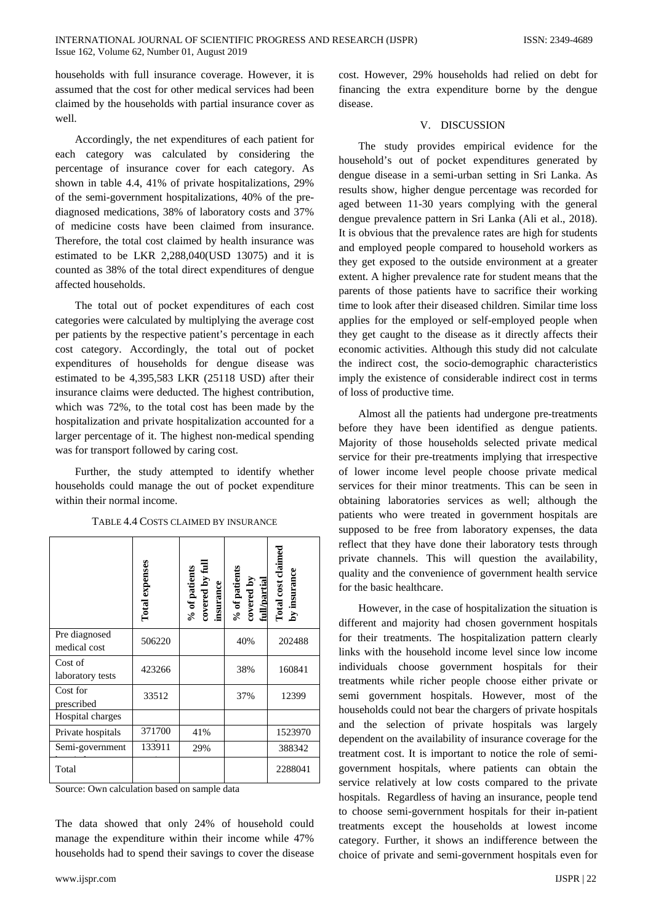households with full insurance coverage. However, it is assumed that the cost for other medical services had been claimed by the households with partial insurance cover as well.

Accordingly, the net expenditures of each patient for each category was calculated by considering the percentage of insurance cover for each category. As shown in table 4.4, 41% of private hospitalizations, 29% of the semi-government hospitalizations, 40% of the prediagnosed medications, 38% of laboratory costs and 37% of medicine costs have been claimed from insurance. Therefore, the total cost claimed by health insurance was estimated to be LKR 2,288,040(USD 13075) and it is counted as 38% of the total direct expenditures of dengue affected households.

The total out of pocket expenditures of each cost categories were calculated by multiplying the average cost per patients by the respective patient's percentage in each cost category. Accordingly, the total out of pocket expenditures of households for dengue disease was estimated to be 4,395,583 LKR (25118 USD) after their insurance claims were deducted. The highest contribution, which was 72%, to the total cost has been made by the hospitalization and private hospitalization accounted for a larger percentage of it. The highest non-medical spending was for transport followed by caring cost.

Further, the study attempted to identify whether households could manage the out of pocket expenditure within their normal income.

|                               | <b>Total expenses</b> | $\%$ of patients<br>covered by full<br>insurance | % of patients<br>covered by<br>full/partial | Total cost claime<br>by insurance |
|-------------------------------|-----------------------|--------------------------------------------------|---------------------------------------------|-----------------------------------|
| Pre diagnosed<br>medical cost | 506220                |                                                  | 40%                                         | 202488                            |
| Cost of<br>laboratory tests   | 423266                |                                                  | 38%                                         | 160841                            |
| Cost for<br>prescribed        | 33512                 |                                                  | 37%                                         | 12399                             |
| Hospital charges              |                       |                                                  |                                             |                                   |
| Private hospitals             | 371700                | 41%                                              |                                             | 1523970                           |
| Semi-government               | 133911                | 29%                                              |                                             | 388342                            |
| Total                         |                       |                                                  |                                             | 2288041                           |

TABLE 4.4 COSTS CLAIMED BY INSURANCE  $\overline{\phantom{a}}$ 

 $\overline{\phantom{a}}$ 

Source: Own calculation based on sample data

The data showed that only 24% of household could manage the expenditure within their income while 47% households had to spend their savings to cover the disease

cost. However, 29% households had relied on debt for financing the extra expenditure borne by the dengue disease.

### V. DISCUSSION

The study provides empirical evidence for the household's out of pocket expenditures generated by dengue disease in a semi-urban setting in Sri Lanka. As results show, higher dengue percentage was recorded for aged between 11-30 years complying with the general dengue prevalence pattern in Sri Lanka (Ali et al., 2018). It is obvious that the prevalence rates are high for students and employed people compared to household workers as they get exposed to the outside environment at a greater extent. A higher prevalence rate for student means that the parents of those patients have to sacrifice their working time to look after their diseased children. Similar time loss applies for the employed or self-employed people when they get caught to the disease as it directly affects their economic activities. Although this study did not calculate the indirect cost, the socio-demographic characteristics imply the existence of considerable indirect cost in terms of loss of productive time.

Almost all the patients had undergone pre-treatments before they have been identified as dengue patients. Majority of those households selected private medical service for their pre-treatments implying that irrespective of lower income level people choose private medical services for their minor treatments. This can be seen in obtaining laboratories services as well; although the patients who were treated in government hospitals are supposed to be free from laboratory expenses, the data reflect that they have done their laboratory tests through private channels. This will question the availability, quality and the convenience of government health service for the basic healthcare.

However, in the case of hospitalization the situation is different and majority had chosen government hospitals for their treatments. The hospitalization pattern clearly links with the household income level since low income individuals choose government hospitals for their treatments while richer people choose either private or semi government hospitals. However, most of the households could not bear the chargers of private hospitals and the selection of private hospitals was largely dependent on the availability of insurance coverage for the treatment cost. It is important to notice the role of semigovernment hospitals, where patients can obtain the service relatively at low costs compared to the private hospitals. Regardless of having an insurance, people tend to choose semi-government hospitals for their in-patient treatments except the households at lowest income category. Further, it shows an indifference between the choice of private and semi-government hospitals even for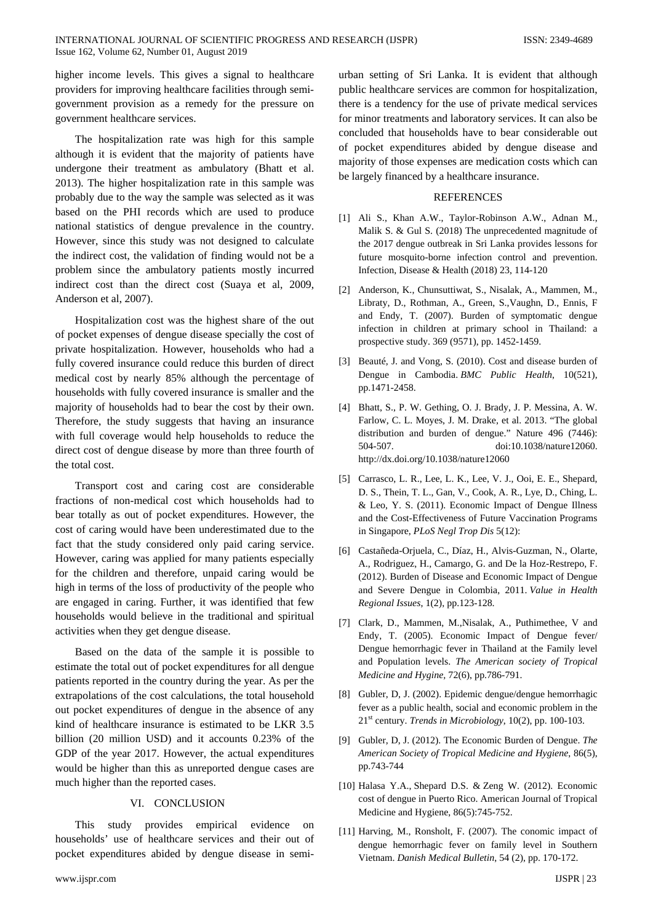higher income levels. This gives a signal to healthcare providers for improving healthcare facilities through semigovernment provision as a remedy for the pressure on government healthcare services.

The hospitalization rate was high for this sample although it is evident that the majority of patients have undergone their treatment as ambulatory (Bhatt et al. 2013). The higher hospitalization rate in this sample was probably due to the way the sample was selected as it was based on the PHI records which are used to produce national statistics of dengue prevalence in the country. However, since this study was not designed to calculate the indirect cost, the validation of finding would not be a problem since the ambulatory patients mostly incurred indirect cost than the direct cost (Suaya et al, 2009, Anderson et al, 2007).

Hospitalization cost was the highest share of the out of pocket expenses of dengue disease specially the cost of private hospitalization. However, households who had a fully covered insurance could reduce this burden of direct medical cost by nearly 85% although the percentage of households with fully covered insurance is smaller and the majority of households had to bear the cost by their own. Therefore, the study suggests that having an insurance with full coverage would help households to reduce the direct cost of dengue disease by more than three fourth of the total cost.

Transport cost and caring cost are considerable fractions of non-medical cost which households had to bear totally as out of pocket expenditures. However, the cost of caring would have been underestimated due to the fact that the study considered only paid caring service. However, caring was applied for many patients especially for the children and therefore, unpaid caring would be high in terms of the loss of productivity of the people who are engaged in caring. Further, it was identified that few households would believe in the traditional and spiritual activities when they get dengue disease.

Based on the data of the sample it is possible to estimate the total out of pocket expenditures for all dengue patients reported in the country during the year. As per the extrapolations of the cost calculations, the total household out pocket expenditures of dengue in the absence of any kind of healthcare insurance is estimated to be LKR 3.5 billion (20 million USD) and it accounts 0.23% of the GDP of the year 2017. However, the actual expenditures would be higher than this as unreported dengue cases are much higher than the reported cases.

#### VI. CONCLUSION

This study provides empirical evidence on households' use of healthcare services and their out of pocket expenditures abided by dengue disease in semiurban setting of Sri Lanka. It is evident that although public healthcare services are common for hospitalization, there is a tendency for the use of private medical services for minor treatments and laboratory services. It can also be concluded that households have to bear considerable out of pocket expenditures abided by dengue disease and majority of those expenses are medication costs which can be largely financed by a healthcare insurance.

### **REFERENCES**

- [1] Ali S., Khan A.W., Taylor-Robinson A.W., Adnan M., Malik S. & Gul S. (2018) The unprecedented magnitude of the 2017 dengue outbreak in Sri Lanka provides lessons for future mosquito-borne infection control and prevention. Infection, Disease & Health (2018) 23, 114-120
- [2] Anderson, K., Chunsuttiwat, S., Nisalak, A., Mammen, M., Libraty, D., Rothman, A., Green, S.,Vaughn, D., Ennis, F and Endy, T. (2007). Burden of symptomatic dengue infection in children at primary school in Thailand: a prospective study. 369 (9571), pp. 1452-1459.
- [3] Beauté, J. and Vong, S. (2010). Cost and disease burden of Dengue in Cambodia. *BMC Public Health*, 10(521), pp.1471-2458.
- [4] Bhatt, S., P. W. Gething, O. J. Brady, J. P. Messina, A. W. Farlow, C. L. Moyes, J. M. Drake, et al. 2013. "The global distribution and burden of dengue." Nature 496 (7446): 504-507. doi:10.1038/nature12060. http://dx.doi.org/10.1038/nature12060
- [5] Carrasco, L. R., Lee, L. K., Lee, V. J., Ooi, E. E., Shepard, D. S., Thein, T. L., Gan, V., Cook, A. R., Lye, D., Ching, L. & Leo, Y. S. (2011). Economic Impact of Dengue Illness and the Cost-Effectiveness of Future Vaccination Programs in Singapore, *PLoS Negl Trop Dis* 5(12):
- [6] Castañeda-Orjuela, C., Díaz, H., Alvis-Guzman, N., Olarte, A., Rodriguez, H., Camargo, G. and De la Hoz-Restrepo, F. (2012). Burden of Disease and Economic Impact of Dengue and Severe Dengue in Colombia, 2011. *Value in Health Regional Issues*, 1(2), pp.123-128.
- [7] Clark, D., Mammen, M.,Nisalak, A., Puthimethee, V and Endy, T. (2005). Economic Impact of Dengue fever/ Dengue hemorrhagic fever in Thailand at the Family level and Population levels. *The American society of Tropical Medicine and Hygine,* 72(6), pp.786-791.
- [8] Gubler, D, J. (2002). Epidemic dengue/dengue hemorrhagic fever as a public health, social and economic problem in the 21st century. *Trends in Microbiology*, 10(2), pp. 100-103.
- [9] Gubler, D, J. (2012). The Economic Burden of Dengue. *The American Society of Tropical Medicine and Hygiene*, 86(5), pp.743-744
- [10] Halasa Y.A., Shepard D.S. & Zeng W. (2012). Economic cost of dengue in Puerto Rico. American Journal of Tropical Medicine and Hygiene, 86(5):745-752.
- [11] Harving, M., Ronsholt, F. (2007). The conomic impact of dengue hemorrhagic fever on family level in Southern Vietnam. *Danish Medical Bulletin*, 54 (2), pp. 170-172.